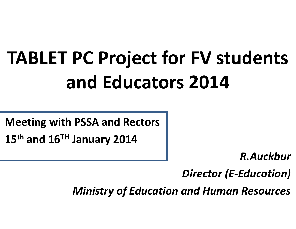# **TABLET PC Project for FV students and Educators 2014**

**Meeting with PSSA and Rectors 15th and 16TH January 2014**

*R.Auckbur*

*Director (E-Education)*

*Ministry of Education and Human Resources*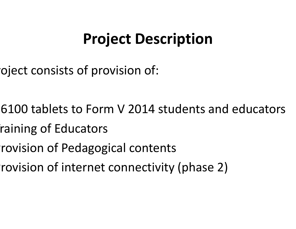# **Project Description**

oject consists of provision of:

- •26100 tablets to Form V 2014 students and educators
- raining of Educators
- rovision of Pedagogical contents
- rovision of internet connectivity (phase 2)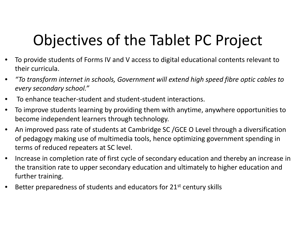# Objectives of the Tablet PC Project

- To provide students of Forms IV and V access to digital educational contents relevant to their curricula.
- *"To transform internet in schools, Government will extend high speed fibre optic cables to every secondary school."*
- To enhance teacher-student and student-student interactions.
- To improve students learning by providing them with anytime, anywhere opportunities to become independent learners through technology.
- An improved pass rate of students at Cambridge SC /GCE O Level through a diversification of pedagogy making use of multimedia tools, hence optimizing government spending in terms of reduced repeaters at SC level.
- Increase in completion rate of first cycle of secondary education and thereby an increase in the transition rate to upper secondary education and ultimately to higher education and further training.
- Better preparedness of students and educators for 21<sup>st</sup> century skills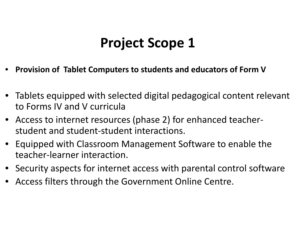#### **Project Scope 1**

- **Provision of Tablet Computers to students and educators of Form V**
- Tablets equipped with selected digital pedagogical content relevant to Forms IV and V curricula
- Access to internet resources (phase 2) for enhanced teacher student and student-student interactions.
- Equipped with Classroom Management Software to enable the teacher-learner interaction.
- Security aspects for internet access with parental control software
- Access filters through the Government Online Centre.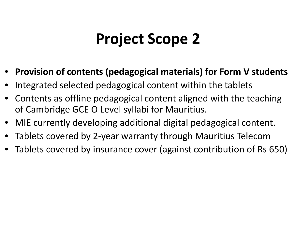# **Project Scope 2**

- **Provision of contents (pedagogical materials) for Form V students**
- Integrated selected pedagogical content within the tablets
- Contents as offline pedagogical content aligned with the teaching of Cambridge GCE O Level syllabi for Mauritius.
- MIE currently developing additional digital pedagogical content.
- Tablets covered by 2-year warranty through Mauritius Telecom
- Tablets covered by insurance cover (against contribution of Rs 650)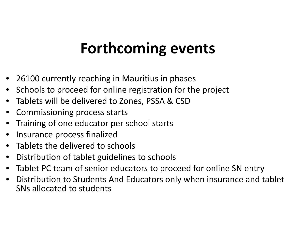## **Forthcoming events**

- 26100 currently reaching in Mauritius in phases
- Schools to proceed for online registration for the project
- Tablets will be delivered to Zones, PSSA & CSD
- Commissioning process starts
- Training of one educator per school starts
- Insurance process finalized
- Tablets the delivered to schools
- Distribution of tablet guidelines to schools
- Tablet PC team of senior educators to proceed for online SN entry
- Distribution to Students And Educators only when insurance and tablet SNs allocated to students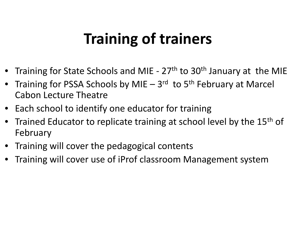# **Training of trainers**

- Training for State Schools and MIE 27<sup>th</sup> to 30<sup>th</sup> January at the MIE
- Training for PSSA Schools by MIE 3<sup>rd</sup> to 5<sup>th</sup> February at Marcel Cabon Lecture Theatre
- Each school to identify one educator for training
- Trained Educator to replicate training at school level by the 15<sup>th</sup> of February
- Training will cover the pedagogical contents
- Training will cover use of iProf classroom Management system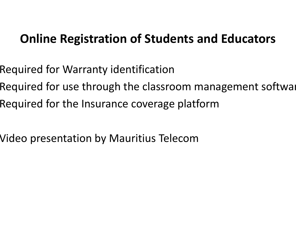#### **Online Registration of Students and Educators**

- Required for Warranty identification
- Required for use through the classroom management softwar
- Required for the Insurance coverage platform
- Video presentation by Mauritius Telecom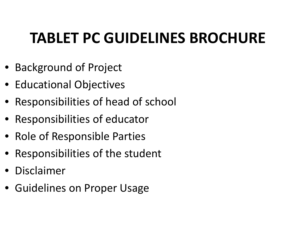# **TABLET PC GUIDELINES BROCHURE**

- Background of Project
- Educational Objectives
- Responsibilities of head of school
- Responsibilities of educator
- Role of Responsible Parties
- Responsibilities of the student
- **Disclaimer**
- Guidelines on Proper Usage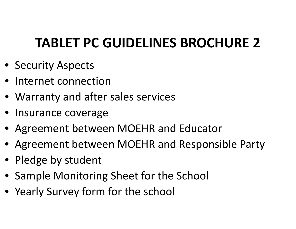#### **TABLET PC GUIDELINES BROCHURE 2**

- Security Aspects
- Internet connection
- Warranty and after sales services
- Insurance coverage
- Agreement between MOEHR and Educator
- Agreement between MOEHR and Responsible Party
- Pledge by student
- Sample Monitoring Sheet for the School
- Yearly Survey form for the school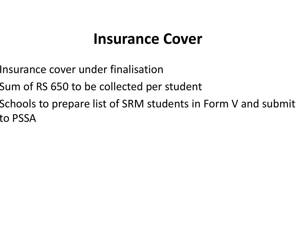#### **Insurance Cover**

- Insurance cover under finalisation
- Sum of RS 650 to be collected per student
- Schools to prepare list of SRM students in Form V and submit to PSSA